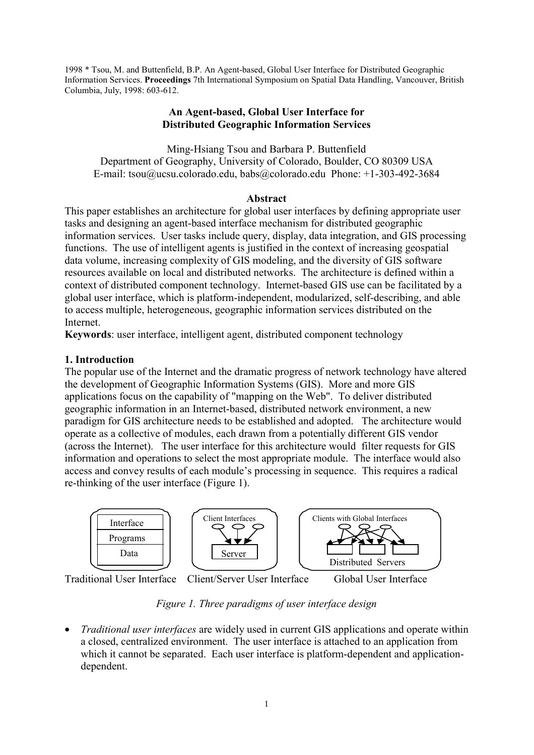1998 \* Tsou, M. and Buttenfield, B.P. An Agent-based, Global User Interface for Distributed Geographic Information Services. **Proceedings** 7th International Symposium on Spatial Data Handling, Vancouver, British Columbia, July, 1998: 603-612.

# **An Agent-based, Global User Interface for Distributed Geographic Information Services**

Ming-Hsiang Tsou and Barbara P. Buttenfield Department of Geography, University of Colorado, Boulder, CO 80309 USA E-mail: tsou@ucsu.colorado.edu, babs@colorado.edu Phone: +1-303-492-3684

#### **Abstract**

This paper establishes an architecture for global user interfaces by defining appropriate user tasks and designing an agent-based interface mechanism for distributed geographic information services. User tasks include query, display, data integration, and GIS processing functions. The use of intelligent agents is justified in the context of increasing geospatial data volume, increasing complexity of GIS modeling, and the diversity of GIS software resources available on local and distributed networks. The architecture is defined within a context of distributed component technology. Internet-based GIS use can be facilitated by a global user interface, which is platform-independent, modularized, self-describing, and able to access multiple, heterogeneous, geographic information services distributed on the Internet.

**Keywords**: user interface, intelligent agent, distributed component technology

# **1. Introduction**

The popular use of the Internet and the dramatic progress of network technology have altered the development of Geographic Information Systems (GIS). More and more GIS applications focus on the capability of "mapping on the Web". To deliver distributed geographic information in an Internet-based, distributed network environment, a new paradigm for GIS architecture needs to be established and adopted. The architecture would operate as a collective of modules, each drawn from a potentially different GIS vendor (across the Internet). The user interface for this architecture would filter requests for GIS information and operations to select the most appropriate module. The interface would also access and convey results of each module's processing in sequence. This requires a radical re-thinking of the user interface (Figure 1).



Traditional User Interface Client/Server User Interface Global User Interface

*Figure 1. Three paradigms of user interface design*

• *Traditional user interfaces* are widely used in current GIS applications and operate within a closed, centralized environment. The user interface is attached to an application from which it cannot be separated. Each user interface is platform-dependent and applicationdependent.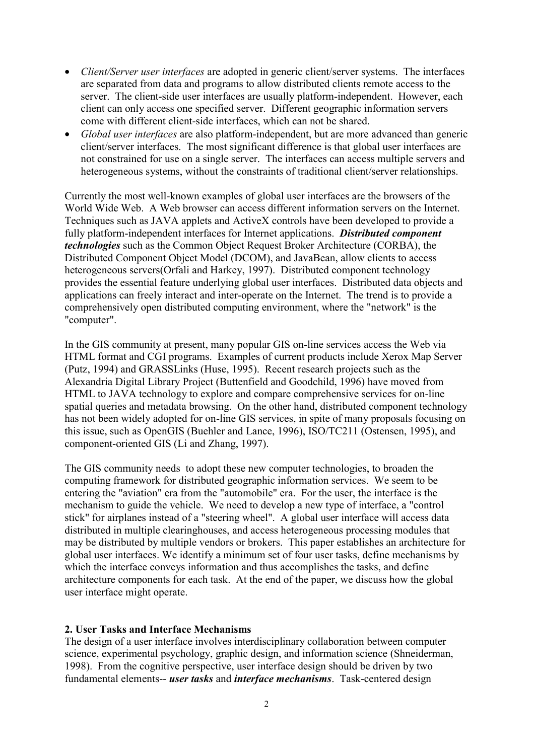- *Client/Server user interfaces* are adopted in generic client/server systems. The interfaces are separated from data and programs to allow distributed clients remote access to the server. The client-side user interfaces are usually platform-independent. However, each client can only access one specified server. Different geographic information servers come with different client-side interfaces, which can not be shared.
- *Global user interfaces* are also platform-independent, but are more advanced than generic client/server interfaces. The most significant difference is that global user interfaces are not constrained for use on a single server. The interfaces can access multiple servers and heterogeneous systems, without the constraints of traditional client/server relationships.

Currently the most well-known examples of global user interfaces are the browsers of the World Wide Web. A Web browser can access different information servers on the Internet. Techniques such as JAVA applets and ActiveX controls have been developed to provide a fully platform-independent interfaces for Internet applications. *Distributed component technologies* such as the Common Object Request Broker Architecture (CORBA), the Distributed Component Object Model (DCOM), and JavaBean, allow clients to access heterogeneous servers(Orfali and Harkey, 1997). Distributed component technology provides the essential feature underlying global user interfaces. Distributed data objects and applications can freely interact and inter-operate on the Internet. The trend is to provide a comprehensively open distributed computing environment, where the "network" is the "computer".

In the GIS community at present, many popular GIS on-line services access the Web via HTML format and CGI programs. Examples of current products include Xerox Map Server (Putz, 1994) and GRASSLinks (Huse, 1995). Recent research projects such as the Alexandria Digital Library Project (Buttenfield and Goodchild, 1996) have moved from HTML to JAVA technology to explore and compare comprehensive services for on-line spatial queries and metadata browsing. On the other hand, distributed component technology has not been widely adopted for on-line GIS services, in spite of many proposals focusing on this issue, such as OpenGIS (Buehler and Lance, 1996), ISO/TC211 (Ostensen, 1995), and component-oriented GIS (Li and Zhang, 1997).

The GIS community needs to adopt these new computer technologies, to broaden the computing framework for distributed geographic information services. We seem to be entering the "aviation" era from the "automobile" era. For the user, the interface is the mechanism to guide the vehicle. We need to develop a new type of interface, a "control stick" for airplanes instead of a "steering wheel". A global user interface will access data distributed in multiple clearinghouses, and access heterogeneous processing modules that may be distributed by multiple vendors or brokers. This paper establishes an architecture for global user interfaces. We identify a minimum set of four user tasks, define mechanisms by which the interface conveys information and thus accomplishes the tasks, and define architecture components for each task. At the end of the paper, we discuss how the global user interface might operate.

#### **2. User Tasks and Interface Mechanisms**

The design of a user interface involves interdisciplinary collaboration between computer science, experimental psychology, graphic design, and information science (Shneiderman, 1998). From the cognitive perspective, user interface design should be driven by two fundamental elements-- *user tasks* and *interface mechanisms*. Task-centered design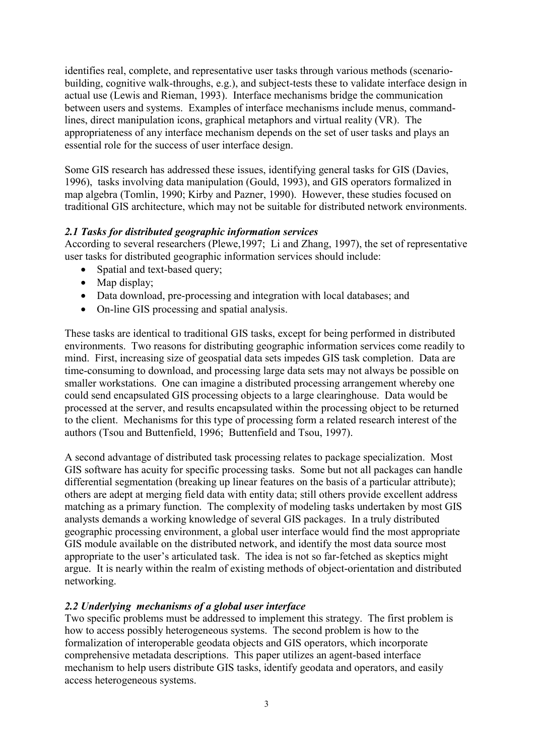identifies real, complete, and representative user tasks through various methods (scenariobuilding, cognitive walk-throughs, e.g.), and subject-tests these to validate interface design in actual use (Lewis and Rieman, 1993). Interface mechanisms bridge the communication between users and systems. Examples of interface mechanisms include menus, commandlines, direct manipulation icons, graphical metaphors and virtual reality (VR). The appropriateness of any interface mechanism depends on the set of user tasks and plays an essential role for the success of user interface design.

Some GIS research has addressed these issues, identifying general tasks for GIS (Davies, 1996), tasks involving data manipulation (Gould, 1993), and GIS operators formalized in map algebra (Tomlin, 1990; Kirby and Pazner, 1990). However, these studies focused on traditional GIS architecture, which may not be suitable for distributed network environments.

#### *2.1 Tasks for distributed geographic information services*

According to several researchers (Plewe,1997; Li and Zhang, 1997), the set of representative user tasks for distributed geographic information services should include:

- Spatial and text-based query;
- Map display;
- Data download, pre-processing and integration with local databases; and
- On-line GIS processing and spatial analysis.

These tasks are identical to traditional GIS tasks, except for being performed in distributed environments. Two reasons for distributing geographic information services come readily to mind. First, increasing size of geospatial data sets impedes GIS task completion. Data are time-consuming to download, and processing large data sets may not always be possible on smaller workstations. One can imagine a distributed processing arrangement whereby one could send encapsulated GIS processing objects to a large clearinghouse. Data would be processed at the server, and results encapsulated within the processing object to be returned to the client. Mechanisms for this type of processing form a related research interest of the authors (Tsou and Buttenfield, 1996; Buttenfield and Tsou, 1997).

A second advantage of distributed task processing relates to package specialization. Most GIS software has acuity for specific processing tasks. Some but not all packages can handle differential segmentation (breaking up linear features on the basis of a particular attribute); others are adept at merging field data with entity data; still others provide excellent address matching as a primary function. The complexity of modeling tasks undertaken by most GIS analysts demands a working knowledge of several GIS packages. In a truly distributed geographic processing environment, a global user interface would find the most appropriate GIS module available on the distributed network, and identify the most data source most appropriate to the user's articulated task. The idea is not so far-fetched as skeptics might argue. It is nearly within the realm of existing methods of object-orientation and distributed networking.

# *2.2 Underlying mechanisms of a global user interface*

Two specific problems must be addressed to implement this strategy. The first problem is how to access possibly heterogeneous systems. The second problem is how to the formalization of interoperable geodata objects and GIS operators, which incorporate comprehensive metadata descriptions. This paper utilizes an agent-based interface mechanism to help users distribute GIS tasks, identify geodata and operators, and easily access heterogeneous systems.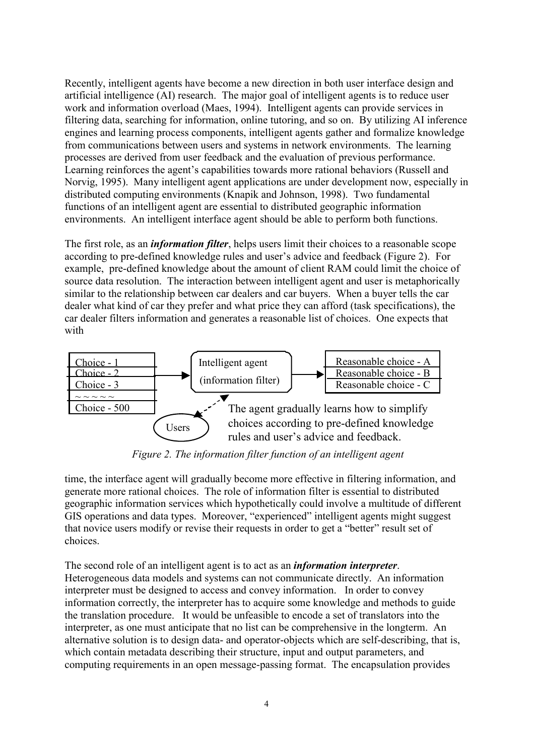Recently, intelligent agents have become a new direction in both user interface design and artificial intelligence (AI) research. The major goal of intelligent agents is to reduce user work and information overload (Maes, 1994). Intelligent agents can provide services in filtering data, searching for information, online tutoring, and so on. By utilizing AI inference engines and learning process components, intelligent agents gather and formalize knowledge from communications between users and systems in network environments. The learning processes are derived from user feedback and the evaluation of previous performance. Learning reinforces the agent's capabilities towards more rational behaviors (Russell and Norvig, 1995). Many intelligent agent applications are under development now, especially in distributed computing environments (Knapik and Johnson, 1998). Two fundamental functions of an intelligent agent are essential to distributed geographic information environments. An intelligent interface agent should be able to perform both functions.

The first role, as an *information filter*, helps users limit their choices to a reasonable scope according to pre-defined knowledge rules and user's advice and feedback (Figure 2). For example, pre-defined knowledge about the amount of client RAM could limit the choice of source data resolution. The interaction between intelligent agent and user is metaphorically similar to the relationship between car dealers and car buyers. When a buyer tells the car dealer what kind of car they prefer and what price they can afford (task specifications), the car dealer filters information and generates a reasonable list of choices. One expects that with



 *Figure 2. The information filter function of an intelligent agent*

time, the interface agent will gradually become more effective in filtering information, and generate more rational choices. The role of information filter is essential to distributed geographic information services which hypothetically could involve a multitude of different GIS operations and data types. Moreover, "experienced" intelligent agents might suggest that novice users modify or revise their requests in order to get a "better" result set of choices.

The second role of an intelligent agent is to act as an *information interpreter*. Heterogeneous data models and systems can not communicate directly. An information interpreter must be designed to access and convey information. In order to convey information correctly, the interpreter has to acquire some knowledge and methods to guide the translation procedure. It would be unfeasible to encode a set of translators into the interpreter, as one must anticipate that no list can be comprehensive in the longterm. An alternative solution is to design data- and operator-objects which are self-describing, that is, which contain metadata describing their structure, input and output parameters, and computing requirements in an open message-passing format. The encapsulation provides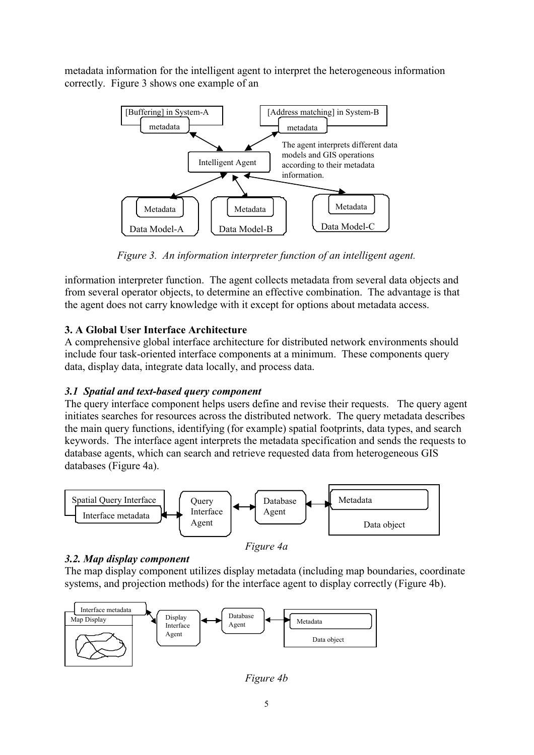metadata information for the intelligent agent to interpret the heterogeneous information correctly. Figure 3 shows one example of an



*Figure 3. An information interpreter function of an intelligent agent.*

information interpreter function. The agent collects metadata from several data objects and from several operator objects, to determine an effective combination. The advantage is that the agent does not carry knowledge with it except for options about metadata access.

# **3. A Global User Interface Architecture**

A comprehensive global interface architecture for distributed network environments should include four task-oriented interface components at a minimum. These components query data, display data, integrate data locally, and process data.

# *3.1 Spatial and text-based query component*

The query interface component helps users define and revise their requests. The query agent initiates searches for resources across the distributed network. The query metadata describes the main query functions, identifying (for example) spatial footprints, data types, and search keywords. The interface agent interprets the metadata specification and sends the requests to database agents, which can search and retrieve requested data from heterogeneous GIS databases (Figure 4a).



# *3.2. Map display component*

The map display component utilizes display metadata (including map boundaries, coordinate systems, and projection methods) for the interface agent to display correctly (Figure 4b).



*Figure 4b*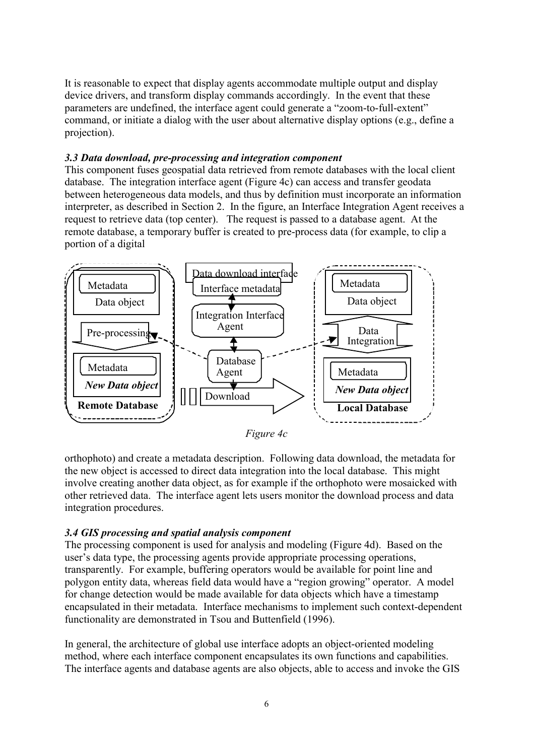It is reasonable to expect that display agents accommodate multiple output and display device drivers, and transform display commands accordingly. In the event that these parameters are undefined, the interface agent could generate a "zoom-to-full-extent" command, or initiate a dialog with the user about alternative display options (e.g., define a projection).

## *3.3 Data download, pre-processing and integration component*

This component fuses geospatial data retrieved from remote databases with the local client database. The integration interface agent (Figure 4c) can access and transfer geodata between heterogeneous data models, and thus by definition must incorporate an information interpreter, as described in Section 2. In the figure, an Interface Integration Agent receives a request to retrieve data (top center). The request is passed to a database agent. At the remote database, a temporary buffer is created to pre-process data (for example, to clip a portion of a digital



*Figure 4c*

orthophoto) and create a metadata description. Following data download, the metadata for the new object is accessed to direct data integration into the local database. This might involve creating another data object, as for example if the orthophoto were mosaicked with other retrieved data. The interface agent lets users monitor the download process and data integration procedures.

# *3.4 GIS processing and spatial analysis component*

The processing component is used for analysis and modeling (Figure 4d). Based on the user's data type, the processing agents provide appropriate processing operations, transparently. For example, buffering operators would be available for point line and polygon entity data, whereas field data would have a "region growing" operator. A model for change detection would be made available for data objects which have a timestamp encapsulated in their metadata. Interface mechanisms to implement such context-dependent functionality are demonstrated in Tsou and Buttenfield (1996).

In general, the architecture of global use interface adopts an object-oriented modeling method, where each interface component encapsulates its own functions and capabilities. The interface agents and database agents are also objects, able to access and invoke the GIS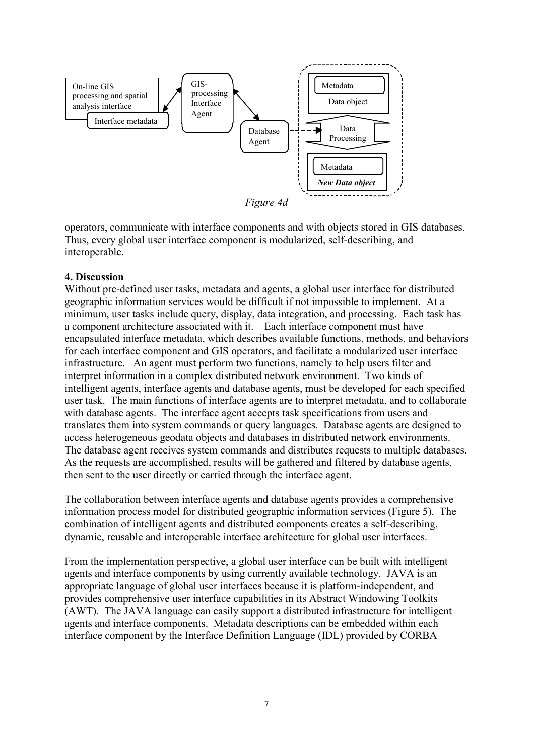

operators, communicate with interface components and with objects stored in GIS databases. Thus, every global user interface component is modularized, self-describing, and interoperable.

#### **4. Discussion**

Without pre-defined user tasks, metadata and agents, a global user interface for distributed geographic information services would be difficult if not impossible to implement. At a minimum, user tasks include query, display, data integration, and processing. Each task has a component architecture associated with it. Each interface component must have encapsulated interface metadata, which describes available functions, methods, and behaviors for each interface component and GIS operators, and facilitate a modularized user interface infrastructure. An agent must perform two functions, namely to help users filter and interpret information in a complex distributed network environment. Two kinds of intelligent agents, interface agents and database agents, must be developed for each specified user task. The main functions of interface agents are to interpret metadata, and to collaborate with database agents. The interface agent accepts task specifications from users and translates them into system commands or query languages. Database agents are designed to access heterogeneous geodata objects and databases in distributed network environments. The database agent receives system commands and distributes requests to multiple databases. As the requests are accomplished, results will be gathered and filtered by database agents, then sent to the user directly or carried through the interface agent.

The collaboration between interface agents and database agents provides a comprehensive information process model for distributed geographic information services (Figure 5). The combination of intelligent agents and distributed components creates a self-describing, dynamic, reusable and interoperable interface architecture for global user interfaces.

From the implementation perspective, a global user interface can be built with intelligent agents and interface components by using currently available technology. JAVA is an appropriate language of global user interfaces because it is platform-independent, and provides comprehensive user interface capabilities in its Abstract Windowing Toolkits (AWT). The JAVA language can easily support a distributed infrastructure for intelligent agents and interface components. Metadata descriptions can be embedded within each interface component by the Interface Definition Language (IDL) provided by CORBA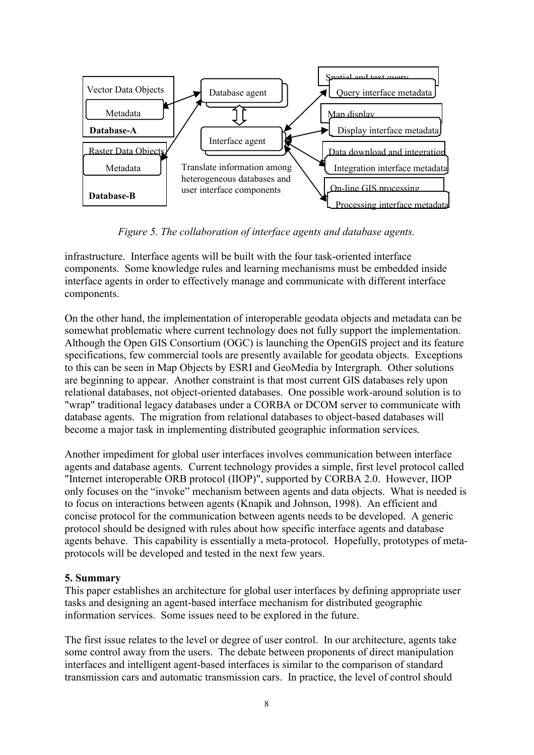

*Figure 5. The collaboration of interface agents and database agents.*

infrastructure. Interface agents will be built with the four task-oriented interface components. Some knowledge rules and learning mechanisms must be embedded inside interface agents in order to effectively manage and communicate with different interface components.

On the other hand, the implementation of interoperable geodata objects and metadata can be somewhat problematic where current technology does not fully support the implementation. Although the Open GIS Consortium (OGC) is launching the OpenGIS project and its feature specifications, few commercial tools are presently available for geodata objects. Exceptions to this can be seen in Map Objects by ESRI and GeoMedia by Intergraph. Other solutions are beginning to appear. Another constraint is that most current GIS databases rely upon relational databases, not object-oriented databases. One possible work-around solution is to "wrap" traditional legacy databases under a CORBA or DCOM server to communicate with database agents. The migration from relational databases to object-based databases will become a major task in implementing distributed geographic information services.

Another impediment for global user interfaces involves communication between interface agents and database agents. Current technology provides a simple, first level protocol called "Internet interoperable ORB protocol (IIOP)", supported by CORBA 2.0. However, IIOP only focuses on the "invoke" mechanism between agents and data objects. What is needed is to focus on interactions between agents (Knapik and Johnson, 1998). An efficient and concise protocol for the communication between agents needs to be developed. A generic protocol should be designed with rules about how specific interface agents and database agents behave. This capability is essentially a meta-protocol. Hopefully, prototypes of metaprotocols will be developed and tested in the next few years.

#### **5. Summary**

This paper establishes an architecture for global user interfaces by defining appropriate user tasks and designing an agent-based interface mechanism for distributed geographic information services. Some issues need to be explored in the future.

The first issue relates to the level or degree of user control. In our architecture, agents take some control away from the users. The debate between proponents of direct manipulation interfaces and intelligent agent-based interfaces is similar to the comparison of standard transmission cars and automatic transmission cars. In practice, the level of control should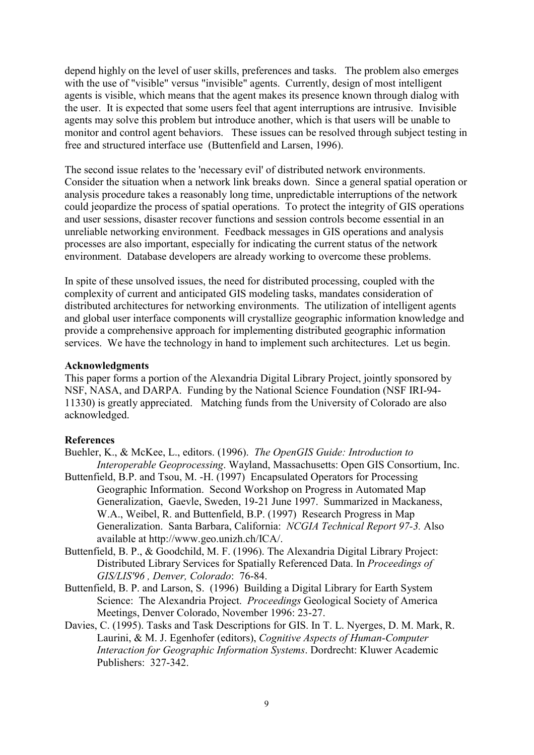depend highly on the level of user skills, preferences and tasks. The problem also emerges with the use of "visible" versus "invisible" agents. Currently, design of most intelligent agents is visible, which means that the agent makes its presence known through dialog with the user. It is expected that some users feel that agent interruptions are intrusive. Invisible agents may solve this problem but introduce another, which is that users will be unable to monitor and control agent behaviors. These issues can be resolved through subject testing in free and structured interface use (Buttenfield and Larsen, 1996).

The second issue relates to the 'necessary evil' of distributed network environments. Consider the situation when a network link breaks down. Since a general spatial operation or analysis procedure takes a reasonably long time, unpredictable interruptions of the network could jeopardize the process of spatial operations. To protect the integrity of GIS operations and user sessions, disaster recover functions and session controls become essential in an unreliable networking environment. Feedback messages in GIS operations and analysis processes are also important, especially for indicating the current status of the network environment. Database developers are already working to overcome these problems.

In spite of these unsolved issues, the need for distributed processing, coupled with the complexity of current and anticipated GIS modeling tasks, mandates consideration of distributed architectures for networking environments. The utilization of intelligent agents and global user interface components will crystallize geographic information knowledge and provide a comprehensive approach for implementing distributed geographic information services. We have the technology in hand to implement such architectures. Let us begin.

#### **Acknowledgments**

This paper forms a portion of the Alexandria Digital Library Project, jointly sponsored by NSF, NASA, and DARPA. Funding by the National Science Foundation (NSF IRI-94- 11330) is greatly appreciated. Matching funds from the University of Colorado are also acknowledged.

#### **References**

- Buehler, K., & McKee, L., editors. (1996). *The OpenGIS Guide: Introduction to Interoperable Geoprocessing*. Wayland, Massachusetts: Open GIS Consortium, Inc.
- Buttenfield, B.P. and Tsou, M. -H. (1997) Encapsulated Operators for Processing Geographic Information. Second Workshop on Progress in Automated Map Generalization, Gaevle, Sweden, 19-21 June 1997. Summarized in Mackaness, W.A., Weibel, R. and Buttenfield, B.P. (1997) Research Progress in Map Generalization. Santa Barbara, California: *NCGIA Technical Report 97-3.* Also available at http://www.geo.unizh.ch/ICA/.
- Buttenfield, B. P., & Goodchild, M. F. (1996). The Alexandria Digital Library Project: Distributed Library Services for Spatially Referenced Data. In *Proceedings of GIS/LIS'96 , Denver, Colorado*: 76-84.
- Buttenfield, B. P. and Larson, S. (1996) Building a Digital Library for Earth System Science: The Alexandria Project. *Proceedings* Geological Society of America Meetings, Denver Colorado, November 1996: 23-27.
- Davies, C. (1995). Tasks and Task Descriptions for GIS. In T. L. Nyerges, D. M. Mark, R. Laurini, & M. J. Egenhofer (editors), *Cognitive Aspects of Human-Computer Interaction for Geographic Information Systems*. Dordrecht: Kluwer Academic Publishers: 327-342.